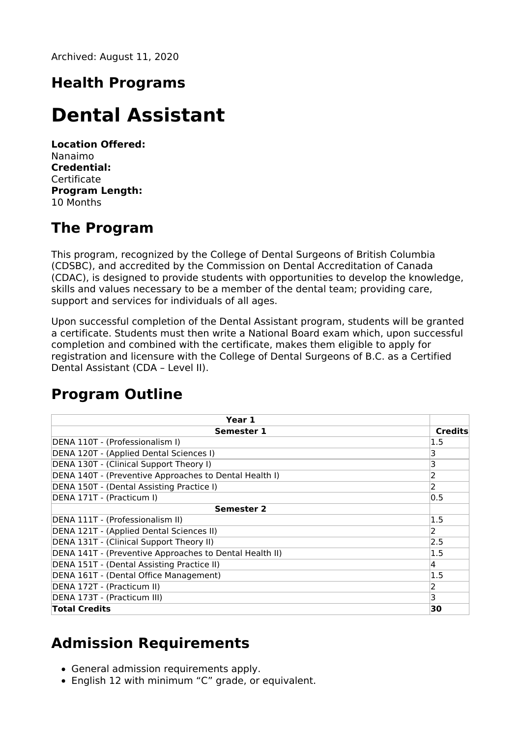Archived: August 11, 2020

### **Health Programs**

# **Dental Assistant**

**Location Offered:** Nanaimo **Credential: Certificate Program Length:** 10 Months

### **The Program**

This program, recognized by the College of Dental Surgeons of British Columbia (CDSBC), and accredited by the Commission on Dental Accreditation of Canada (CDAC), is designed to provide students with opportunities to develop the knowledge, skills and values necessary to be a member of the dental team; providing care, support and services for individuals of all ages.

Upon successful completion of the Dental Assistant program, students will be granted a certificate. Students must then write a National Board exam which, upon successful completion and combined with the certificate, makes them eligible to apply for registration and licensure with the College of Dental Surgeons of B.C. as a Certified Dental Assistant (CDA – Level II).

### **Program Outline**

| Year 1                                                  |                |
|---------------------------------------------------------|----------------|
| <b>Semester 1</b>                                       | <b>Credits</b> |
| DENA 110T - (Professionalism I)                         | 1.5            |
| DENA 120T - (Applied Dental Sciences I)                 | 3              |
| DENA 130T - (Clinical Support Theory I)                 | 3              |
| DENA 140T - (Preventive Approaches to Dental Health I)  | 2              |
| DENA 150T - (Dental Assisting Practice I)               | 2              |
| DENA 171T - (Practicum I)                               | 0.5            |
| <b>Semester 2</b>                                       |                |
| DENA 111T - (Professionalism II)                        | 1.5            |
| DENA 121T - (Applied Dental Sciences II)                | 2              |
| DENA 131T - (Clinical Support Theory II)                | 2.5            |
| DENA 141T - (Preventive Approaches to Dental Health II) | 1.5            |
| DENA 151T - (Dental Assisting Practice II)              | 4              |
| DENA 161T - (Dental Office Management)                  | 1.5            |
| DENA 172T - (Practicum II)                              | 2              |
| DENA 173T - (Practicum III)                             | 3              |
| <b>Total Credits</b>                                    | 30             |

### **Admission Requirements**

- General admission requirements apply.
- English 12 with minimum "C" grade, or equivalent.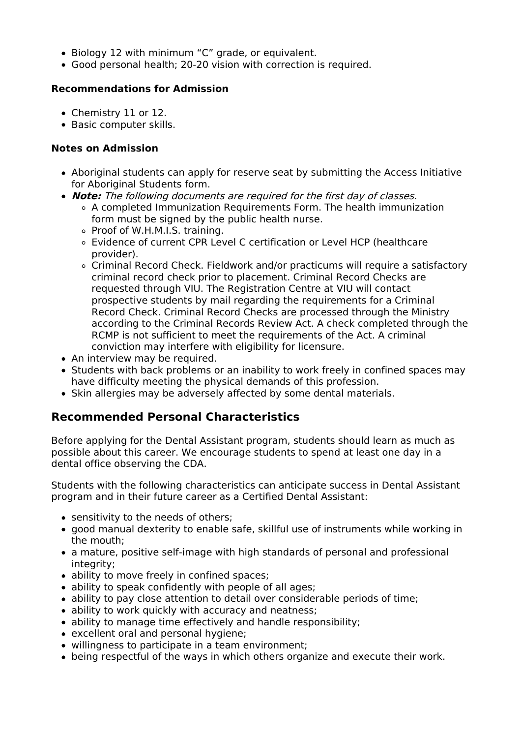- Biology 12 with minimum "C" grade, or equivalent.
- Good personal health; 20-20 vision with correction is required.

#### **Recommendations for Admission**

- Chemistry 11 or 12.
- Basic computer skills.

#### **Notes on Admission**

- Aboriginal students can apply for reserve seat by submitting the Access Initiative for Aboriginal Students form.
- **Note:** The following documents are required for the first day of classes.
	- A completed Immunization Requirements Form. The health immunization form must be signed by the public health nurse.
	- Proof of W.H.M.I.S. training.
	- Evidence of current CPR Level C certification or Level HCP (healthcare provider).
	- Criminal Record Check. Fieldwork and/or practicums will require a satisfactory criminal record check prior to placement. Criminal Record Checks are requested through VIU. The Registration Centre at VIU will contact prospective students by mail regarding the requirements for a Criminal Record Check. Criminal Record Checks are processed through the Ministry according to the Criminal Records Review Act. A check completed through the RCMP is not sufficient to meet the requirements of the Act. A criminal conviction may interfere with eligibility for licensure.
- An interview may be required.
- Students with back problems or an inability to work freely in confined spaces may have difficulty meeting the physical demands of this profession.
- Skin allergies may be adversely affected by some dental materials.

#### **Recommended Personal Characteristics**

Before applying for the Dental Assistant program, students should learn as much as possible about this career. We encourage students to spend at least one day in a dental office observing the CDA.

Students with the following characteristics can anticipate success in Dental Assistant program and in their future career as a Certified Dental Assistant:

- sensitivity to the needs of others;
- good manual dexterity to enable safe, skillful use of instruments while working in the mouth;
- a mature, positive self-image with high standards of personal and professional integrity:
- ability to move freely in confined spaces;
- ability to speak confidently with people of all ages;
- ability to pay close attention to detail over considerable periods of time;
- ability to work quickly with accuracy and neatness;
- ability to manage time effectively and handle responsibility;
- excellent oral and personal hygiene;
- willingness to participate in a team environment;
- being respectful of the ways in which others organize and execute their work.